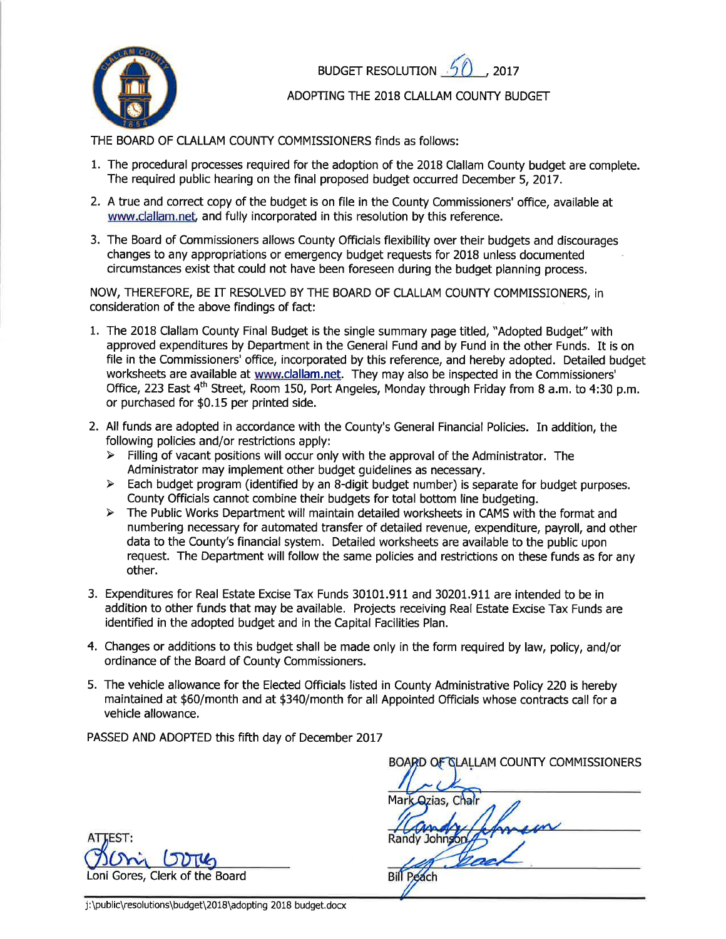

 $\mathscr{L}_{\rho}$ **BUDGET RESOLUTION** 2017

## ADOPTING THE 2018 CLALLAM COUNTY BUDGET

THE BOARD OF CLALLAM COUNTY COMMISSIONERS finds as follows:

- 1. The procedural processes required for the adoption of the 2018 Clallam County budget are complete. The required public hearing on the final proposed budget occurred December 5, 2017.
- 2. A true and correct copy of the budget is on file in the County Commissioners' office, available at www.clallam.net, and fully incorporated in this resolution by this reference.
- 3. The Board of Commissioners allows County Officials flexibility over their budgets and discourages changes to any appropriations or emergency budget requests for 2018 unless documented circumstances exist that could not have been foreseen during the budget planning process.

NOW, THEREFORE, BE IT RESOLVED BY THE BOARD OF CLALLAM COUNTY COMMISSIONERS, in consideration of the above findings of fact:

- 1. The 2018 Clallam County Final Budget is the single summary page titled, "Adopted Budget" with approved expenditures by Department in the General Fund and by Fund in the other Funds. It is on file in the Commissioners' office, incorporated by this reference, and hereby adopted. Detailed budget worksheets are available at www.clallam.net. They may also be inspected in the Commissioners' Office, 223 East 4<sup>th</sup> Street, Room 150, Port Angeles, Monday through Friday from 8 a.m. to 4:30 p.m. or purchased for \$0.15 per printed side,
- 2. All funds are adopted in accordance with the County's General Financial Policies. In addition, the following policies and/or restrictions apply:
	- $\triangleright$  Filling of vacant positions will occur only with the approval of the Administrator. The Admínistrator may implement other budget guidelines as necessary.
	- $\triangleright$  Each budget program (identified by an 8-digit budget number) is separate for budget purposes. County Officials cannot combine their budgets for total bottom line budgeting.
	- $\triangleright$  The Public Works Department will maintain detailed worksheets in CAMS with the format and numbering necessary for automated transfer of detailed revenue, expenditure, payroll, and other data to the County's financial system. Detailed worksheets are avaílable to the public upon request. The Department will follow the same policies and restrictions on these funds as for any other.
- 3. Expenditures for Real Estate Excise Tax Funds 30101.911 and 30201.911 are íntended to be in addition to other funds that may be available. Projects receiving Real Estate Excise Tax Funds are identified in the adopted budget and in the Capital Facilities Plan.
- 4. Changes or additions to this budget shall be made only in the form required by law, policy, and/or ordinance of the Board of County Commissioners.
- 5. The vehicle allowance for the Elected Officials listed in County Administrative Policy 220 is hereby maintained at \$60/month and at \$340/month for all Appointed Officials whose contracts call for a vehicle allowance.

PASSED AND ADOPTED this fifth day of December 2017

| <b>ATLEST:</b> |                                |
|----------------|--------------------------------|
| Orin Lores     |                                |
|                | Loni Gores, Clerk of the Board |

|                   | BOARD OF GLALLAM COUNTY COMMISSIONERS |
|-------------------|---------------------------------------|
| Mark Ozias, Chair |                                       |
| Randy Johnson     |                                       |
| each              |                                       |

j:\public\resolutions\budget\2018\adopting 2018 budget.docx